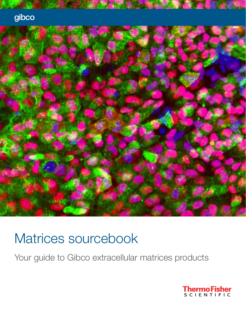



# Matrices sourcebook

Your guide to Gibco extracellular matrices products

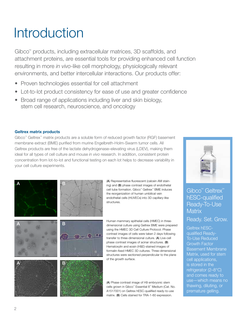# Introduction

Gibco™ products, including extracellular matrices, 3D scaffolds, and attachment proteins, are essential tools for providing enhanced cell function resulting in more *in vivo*-like cell morphology, physiologically relevant environments, and better intercellular interactions. Our products offer:

- Proven technologies essential for cell attachment
- Lot-to-lot product consistency for ease of use and greater confidence
- Broad range of applications including liver and skin biology, stem cell research, neuroscience, and oncology

#### Geltrex matrix products

Gibco™ Geltrex™ matrix products are a soluble form of reduced growth factor (RGF) basement membrane extract (BME) purified from murine Engelbreth-Holm-Swarm tumor cells. All Geltrex products are free of the lactate dehydrogenase–elevating virus (LDEV), making them ideal for all types of cell culture and mouse *in vivo* research. In addition, consistent protein concentration from lot-to-lot and functional testing on each lot helps to decrease variability in your cell culture experiments.





(A) Representative fluorescent (calcein AM staining) and (B) phase contrast images of endothelial cell tube formation. Gibco™ Geltrex™ BME induces the reorganization of human umbilical vein endothelial cells (HUVECs) into 3D capillary-like structures.



Human mammary epithelial cells (HMEC) in threedimensional culture using Geltrex BME were prepared using the HMEC 3D Cell Culture Protocol. Phase contrast images of cells were taken 2 days following transfer to three-dimensional culture. (A) Live-cell phase contrast images of acinar structures. (B) Hematoxylin and eosin (H&E)-stained images of formalin-fixed HMEC 3D cultures. Three-dimensional structures were sectioned perpendicular to the plane of the growth surface.

(A) Phase contrast image of H9 embryonic stem cells grown in Gibco™ Essential 8™ Medium (Cat. No. A1517001) on Geltrex hESC-qualified ready-to-use matrix. (B) Cells stained for TRA-1-60 expression.



### Gibco<sup>™</sup> Geltrex<sup>™</sup> hESC-qualified Ready-To-Use **Matrix**

Ready. Set. Grow.

Geltrex hESCqualified Ready-To-Use Reduced Growth Factor Basement Membrane Matrix, used for stem cell applications, is stored in the refrigerator (2–8°C) and comes ready to use—which means no thawing, diluting, or premature gelling.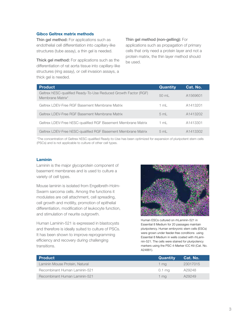#### Gibco Geltrex matrix methods

Thin gel method: For applications such as endothelial cell differentiation into capillary-like structures (tube assay), a thin gel is needed.

Thick gel method: For applications such as the differentiation of rat aorta tissue into capillary-like structures (ring assay), or cell invasion assays, a thick gel is needed.

#### Thin gel method (non-gelling): For

applications such as propagation of primary cells that only need a protein layer and not a protein matrix, the thin layer method should be used.

| <b>Product</b>                                                                      | <b>Quantity</b> | Cat. No. |
|-------------------------------------------------------------------------------------|-----------------|----------|
| Geltrex hESC-qualified Ready-To-Use Reduced Growth Factor (RGF)<br>Membrane Matrix* | $50 \text{ ml}$ | A1569601 |
| Geltrex LDEV-Free RGF Basement Membrane Matrix                                      | 1 ml            | A1413201 |
| Geltrex LDEV-Free RGF Basement Membrane Matrix                                      | 5 <sub>m</sub>  | A1413202 |
| Geltrex LDEV-Free hESC-qualified RGF Basement Membrane Matrix                       | $1 \text{ ml}$  | A1413301 |
| Geltrex LDEV-Free hESC-qualified RGF Basement Membrane Matrix                       | 5 mL            | A1413302 |

\*The concentration of Geltrex hESC-qualified Ready-to-Use has been optimized for expansion of pluripotent stem cells (PSCs) and is not applicable to culture of other cell types.

#### Laminin

Laminin is the major glycoprotein component of basement membranes and is used to culture a variety of cell types.

Mouse laminin is isolated from Engelbreth-Holm-Swarm sarcoma cells. Among the functions it modulates are cell attachment, cell spreading, cell growth and motility, promotion of epithelial differentiation, modification of leukocyte function, and stimulation of neurite outgrowth.

Human Laminin-521 is expressed in blastocysts and therefore is ideally suited to culture of PSCs. It has been shown to improve reprogramming efficiency and recovery during challenging transitions.



Human ESCs cultured on rhLaminin-521 in Essential 8 Medium for 20 passages maintain pluripotency. Human embryonic stem cells (ESCs) were grown under feeder-free conditions using Essential 8 Medium in wells coated with rhLaminin-521. The cells were stained for pluripotency markers using the PSC 4-Marker ICC Kit (Cat. No. A24881).

| <b>Product</b>                 | <b>Quantity</b> | Cat. No. |
|--------------------------------|-----------------|----------|
| Laminin Mouse Protein, Natural | 1 ma            | 23017015 |
| Recombinant Human Laminin-521  | 0.1 ma          | A29248   |
| Recombinant Human Laminin-521  | 1 ma            | A29249   |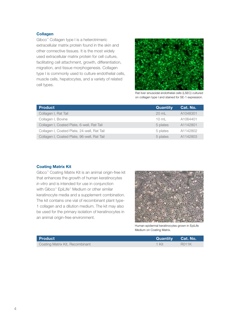#### **Collagen**

Gibco™ Collagen type I is a heterotrimeric extracellular matrix protein found in the skin and other connective tissues. It is the most widely used extracellular matrix protein for cell culture, facilitating cell attachment, growth, differentiation, migration, and tissue morphogenesis. Collagen type I is commonly used to culture endothelial cells, muscle cells, hepatocytes, and a variety of related cell types.



Rat liver sinusoidal endothelial cells (LSEC) cultured on collagen type I and stained for SE-1 expression.

| <b>Product</b>                              | Quantity        | Cat. No. |
|---------------------------------------------|-----------------|----------|
| Collagen I, Rat Tail                        | $20 \text{ ml}$ | A1048301 |
| Collagen I, Bovine                          | $10 \text{ ml}$ | A1064401 |
| Collagen I, Coated Plate, 6-well, Rat Tail  | 5 plates        | A1142801 |
| Collagen I, Coated Plate, 24-well, Rat Tail | 5 plates        | A1142802 |
| Collagen I, Coated Plate, 96-well, Rat Tail | 5 plates        | A1142803 |

#### Coating Matrix Kit

Gibco™ Coating Matrix Kit is an animal origin-free kit that enhances the growth of human keratinocytes *in vitro* and is intended for use in conjunction with Gibco™ EpiLife™ Medium or other similar keratinocyte media and a supplement combination. The kit contains one vial of recombinant plant type-1 collagen and a dilution medium. The kit may also be used for the primary isolation of keratinocytes in an animal origin-free environment.



Human epidermal keratinocytes grown in EpiLife Medium on Coating Matrix.

| l Product                       | Quantity Cat. No. |              |
|---------------------------------|-------------------|--------------|
| Coating Matrix Kit, Recombinant | 1 Kit             | <b>R011K</b> |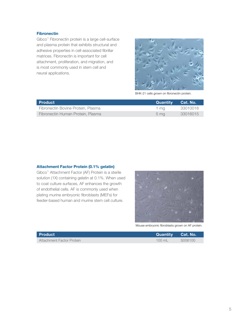#### **Fibronectin**

Gibco™ Fibronectin protein is a large cell-surface and plasma protein that exhibits structural and adhesive properties in cell-associated fibrillar matrices. Fibronectin is important for cell attachment, proliferation, and migration, and is most commonly used in stem cell and neural applications.



BHK-21 cells grown on fibronectin protein.

| <b>Product</b>                     | Quantity Cat. No. |          |
|------------------------------------|-------------------|----------|
| Fibronectin Bovine Protein, Plasma | 1 ma              | 33010018 |
| Fibronectin Human Protein, Plasma  | 5 <sub>ma</sub>   | 33016015 |

#### Attachment Factor Protein (0.1% gelatin)

Gibco™ Attachment Factor (AF) Protein is a sterile solution (1X) containing gelatin at 0.1%. When used to coat culture surfaces, AF enhances the growth of endothelial cells. AF is commonly used when plating murine embryonic fibroblasts (MEFs) for feeder-based human and murine stem cell culture.



Mouse embryonic fibroblasts grown on AF protein.

| l Product                 | Quantity Cat. No. |         |
|---------------------------|-------------------|---------|
| Attachment Factor Protein | $100 \text{ mL}$  | S006100 |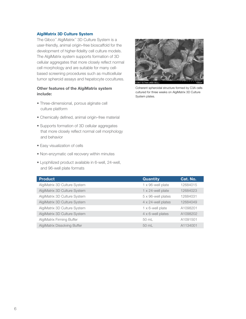#### AlgiMatrix 3D Culture System

The Gibco™ AlgiMatrix™ 3D Culture System is a user-friendly, animal origin–free bioscaffold for the development of higher-fidelity cell culture models. The AlgiMatrix system supports formation of 3D cellular aggregates that more closely reflect normal cell morphology and are suitable for many cellbased screening procedures such as multicellular tumor spheroid assays and hepatocyte cocultures.

#### Other features of the AlgiMatrix system include:

- Three-dimensional, porous alginate cell culture platform
- Chemically defined, animal origin–free material
- Supports formation of 3D cellular aggregates that more closely reflect normal cell morphology and behavior
- Easy visualization of cells
- Non-enzymatic cell recovery within minutes
- Lyophilized product available in 6-well, 24-well, and 96-well plate formats



Coherent spheroidal structure formed by C3A cells cultured for three weeks on AlgiMatrix 3D Culture System plates.

| <b>Product</b>                      | <b>Quantity</b>            | Cat. No. |
|-------------------------------------|----------------------------|----------|
| AlgiMatrix 3D Culture System        | 1 x 96-well plate          | 12684015 |
| AlgiMatrix 3D Culture System        | $1 \times 24$ -well plate  | 12684023 |
| AlgiMatrix 3D Culture System        | $5 \times 96$ -well plates | 12684031 |
| AlgiMatrix 3D Culture System        | 4 x 24-well plates         | 12684049 |
| AlgiMatrix 3D Culture System        | $1 \times 6$ -well plate   | A1098201 |
| AlgiMatrix 3D Culture System        | 4 x 6-well plates          | A1098202 |
| AlgiMatrix Firming Buffer           | $50 \text{ mL}$            | A1091501 |
| <b>AlgiMatrix Dissolving Buffer</b> | $50 \text{ ml}$            | A1134001 |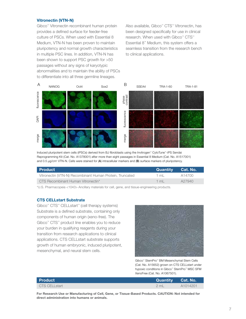#### Vitronectin (VTN-N)

Gibco™ Vitronectin recombinant human protein provides a defined surface for feeder-free culture of PSCs. When used with Essential 8 Medium, VTN-N has been proven to maintain pluripotency and normal growth characteristics in multiple PSC lines. In addition, VTN-N has been shown to support PSC growth for >50 passages without any signs of karyotypic abnormalities and to maintain the ability of PSCs to differentiate into all three germline lineages.

Also available, Gibco™ CTS™ Vitronectin, has been designed specifically for use in clinical research. When used with Gibco™ CTS™ Essential 8™ Medium, this system offers a seamless transition from the research bench to clinical applications.



Induced pluripotent stem cells (iPSCs) derived from BJ fibroblasts using the Invitrogen™ CytoTune™-iPS Sendai Reprogramming Kit (Cat. No. A1378001) after more than eight passages in Essential 8 Medium (Cat. No. A1517001) and 0.5  $\mu$ g/cm<sup>2</sup> VTN-N. Cells were stained for (A) intracellular markers and (B) surface markers of pluripotency.

| l Product                                                | <b>⊺Quantitv</b> i | ⊦Cat. No.' |
|----------------------------------------------------------|--------------------|------------|
| Vitronectin (VTN-N) Recombinant Human Protein, Truncated | 1 ml               | A14700     |
| CTS Recombinant Human Vitronectin*                       | 1 ml               | A27940     |

\*U.S. Pharmacopeia <1043> Ancillary materials for cell, gene, and tissue-engineering products.

#### CTS CELLstart Substrate

Gibco™ CTS™ CELLstart™ (cell therapy systems) Substrate is a defined substrate, containing only components of human origin (xeno-free). The Gibco™ CTS™ product line enables you to reduce your burden in qualifying reagents during your transition from research applications to clinical applications. CTS CELLstart substrate supports growth of human embryonic, induced pluripotent, mesenchymal, and neural stem cells.



Gibco™ StemPro™ BM Mesenchymal Stem Cells (Cat. No. A15652) grown on CTS CELLstart under hypoxic conditions in Gibco™ StemPro™ MSC SFM XenoFree (Cat. No. A1067501).

| <b>Product</b> | <b>Quantity</b> Cat. No. |                      |
|----------------|--------------------------|----------------------|
| CTS CELLstart  | 2mL                      | A <sub>1014201</sub> |

For Research Use or Manufacturing of Cell, Gene, or Tissue-Based Products. CAUTION: Not intended for direct administration into humans or animals.